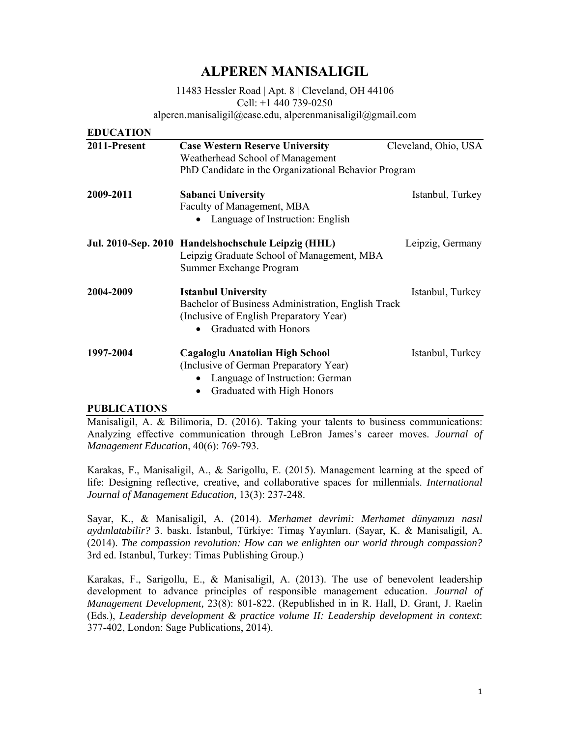# **ALPEREN MANISALIGIL**

11483 Hessler Road | Apt. 8 | Cleveland, OH 44106 Cell: +1 440 739-0250 alperen.manisaligil@case.edu, alperenmanisaligil@gmail.com

| <b>EDUCATION</b> |                                                                                                                                                      |                      |  |
|------------------|------------------------------------------------------------------------------------------------------------------------------------------------------|----------------------|--|
| 2011-Present     | <b>Case Western Reserve University</b><br>Weatherhead School of Management                                                                           | Cleveland, Ohio, USA |  |
|                  | PhD Candidate in the Organizational Behavior Program                                                                                                 |                      |  |
| 2009-2011        | <b>Sabanci University</b>                                                                                                                            | Istanbul, Turkey     |  |
|                  | Faculty of Management, MBA<br>Language of Instruction: English                                                                                       |                      |  |
|                  | Jul. 2010-Sep. 2010 Handelshochschule Leipzig (HHL)<br>Leipzig Graduate School of Management, MBA<br>Summer Exchange Program                         | Leipzig, Germany     |  |
| 2004-2009        | <b>Istanbul University</b><br>Bachelor of Business Administration, English Track<br>(Inclusive of English Preparatory Year)<br>Graduated with Honors | Istanbul, Turkey     |  |
| 1997-2004        | Cagaloglu Anatolian High School<br>(Inclusive of German Preparatory Year)<br>Language of Instruction: German<br>Graduated with High Honors           | Istanbul, Turkey     |  |

#### **PUBLICATIONS**

Manisaligil, A. & Bilimoria, D. (2016). Taking your talents to business communications: Analyzing effective communication through LeBron James's career moves. *Journal of Management Education*, 40(6): 769-793.

Karakas, F., Manisaligil, A., & Sarigollu, E. (2015). Management learning at the speed of life: Designing reflective, creative, and collaborative spaces for millennials. *International Journal of Management Education,* 13(3): 237-248.

Sayar, K., & Manisaligil, A. (2014). *Merhamet devrimi: Merhamet dünyamızı nasıl aydınlatabilir?* 3. baskı. İstanbul, Türkiye: Timaş Yayınları. (Sayar, K. & Manisaligil, A. (2014). *The compassion revolution: How can we enlighten our world through compassion?* 3rd ed. Istanbul, Turkey: Timas Publishing Group.)

Karakas, F., Sarigollu, E., & Manisaligil, A. (2013). The use of benevolent leadership development to advance principles of responsible management education. *Journal of Management Development,* 23(8): 801-822. (Republished in in R. Hall, D. Grant, J. Raelin (Eds.), *Leadership development & practice volume II: Leadership development in context*: 377-402, London: Sage Publications, 2014).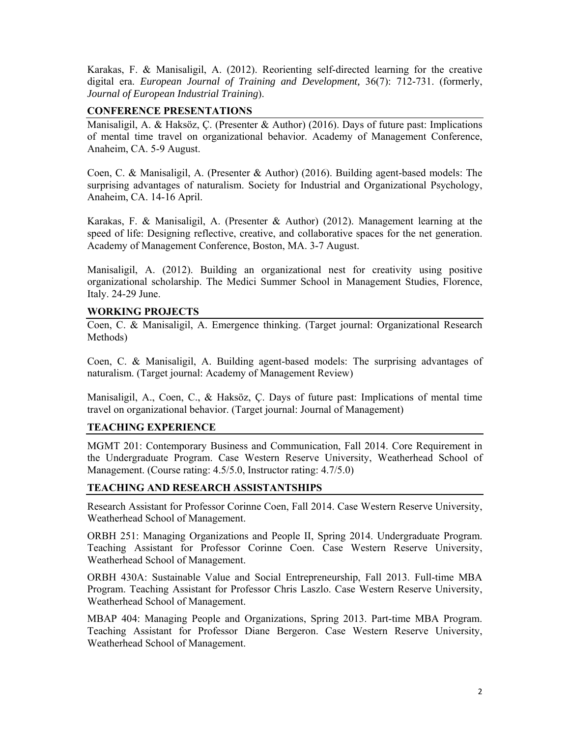Karakas, F. & Manisaligil, A. (2012). Reorienting self-directed learning for the creative digital era. *European Journal of Training and Development,* 36(7): 712-731. (formerly, *Journal of European Industrial Training*).

## **CONFERENCE PRESENTATIONS**

Manisaligil, A. & Haksöz, Ç. (Presenter & Author) (2016). Days of future past: Implications of mental time travel on organizational behavior. Academy of Management Conference, Anaheim, CA. 5-9 August.

Coen, C. & Manisaligil, A. (Presenter & Author) (2016). Building agent-based models: The surprising advantages of naturalism. Society for Industrial and Organizational Psychology, Anaheim, CA. 14-16 April.

Karakas, F. & Manisaligil, A. (Presenter & Author) (2012). Management learning at the speed of life: Designing reflective, creative, and collaborative spaces for the net generation. Academy of Management Conference, Boston, MA. 3-7 August.

Manisaligil, A. (2012). Building an organizational nest for creativity using positive organizational scholarship. The Medici Summer School in Management Studies, Florence, Italy. 24-29 June.

## **WORKING PROJECTS**

Coen, C. & Manisaligil, A. Emergence thinking. (Target journal: Organizational Research Methods)

Coen, C. & Manisaligil, A. Building agent-based models: The surprising advantages of naturalism. (Target journal: Academy of Management Review)

Manisaligil, A., Coen, C., & Haksöz, Ç. Days of future past: Implications of mental time travel on organizational behavior. (Target journal: Journal of Management)

#### **TEACHING EXPERIENCE**

MGMT 201: Contemporary Business and Communication, Fall 2014. Core Requirement in the Undergraduate Program. Case Western Reserve University, Weatherhead School of Management. (Course rating: 4.5/5.0, Instructor rating: 4.7/5.0)

#### **TEACHING AND RESEARCH ASSISTANTSHIPS**

Research Assistant for Professor Corinne Coen, Fall 2014. Case Western Reserve University, Weatherhead School of Management.

ORBH 251: Managing Organizations and People II, Spring 2014. Undergraduate Program. Teaching Assistant for Professor Corinne Coen. Case Western Reserve University, Weatherhead School of Management.

ORBH 430A: Sustainable Value and Social Entrepreneurship, Fall 2013. Full-time MBA Program. Teaching Assistant for Professor Chris Laszlo. Case Western Reserve University, Weatherhead School of Management.

MBAP 404: Managing People and Organizations, Spring 2013. Part-time MBA Program. Teaching Assistant for Professor Diane Bergeron. Case Western Reserve University, Weatherhead School of Management.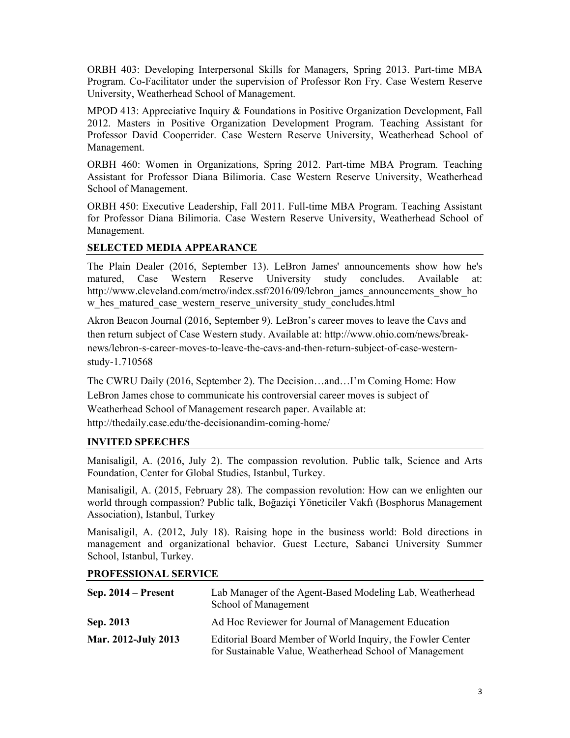ORBH 403: Developing Interpersonal Skills for Managers, Spring 2013. Part-time MBA Program. Co-Facilitator under the supervision of Professor Ron Fry. Case Western Reserve University, Weatherhead School of Management.

MPOD 413: Appreciative Inquiry & Foundations in Positive Organization Development, Fall 2012. Masters in Positive Organization Development Program. Teaching Assistant for Professor David Cooperrider. Case Western Reserve University, Weatherhead School of Management.

ORBH 460: Women in Organizations, Spring 2012. Part-time MBA Program. Teaching Assistant for Professor Diana Bilimoria. Case Western Reserve University, Weatherhead School of Management.

ORBH 450: Executive Leadership, Fall 2011. Full-time MBA Program. Teaching Assistant for Professor Diana Bilimoria. Case Western Reserve University, Weatherhead School of Management.

## **SELECTED MEDIA APPEARANCE**

The Plain Dealer (2016, September 13). LeBron James' announcements show how he's matured, Case Western Reserve University study concludes. Available at: http://www.cleveland.com/metro/index.ssf/2016/09/lebron\_james\_announcements\_show\_ho w hes matured case western reserve university study concludes.html

Akron Beacon Journal (2016, September 9). LeBron's career moves to leave the Cavs and then return subject of Case Western study. Available at: http://www.ohio.com/news/breaknews/lebron-s-career-moves-to-leave-the-cavs-and-then-return-subject-of-case-westernstudy-1.710568

The CWRU Daily (2016, September 2). The Decision…and…I'm Coming Home: How LeBron James chose to communicate his controversial career moves is subject of Weatherhead School of Management research paper. Available at: http://thedaily.case.edu/the-decisionandim-coming-home/

## **INVITED SPEECHES**

Manisaligil, A. (2016, July 2). The compassion revolution. Public talk, Science and Arts Foundation, Center for Global Studies, Istanbul, Turkey.

Manisaligil, A. (2015, February 28). The compassion revolution: How can we enlighten our world through compassion? Public talk, Boğaziçi Yöneticiler Vakfı (Bosphorus Management Association), Istanbul, Turkey

Manisaligil, A. (2012, July 18). Raising hope in the business world: Bold directions in management and organizational behavior. Guest Lecture, Sabanci University Summer School, Istanbul, Turkey.

## **PROFESSIONAL SERVICE**

| Sep. $2014$ – Present | Lab Manager of the Agent-Based Modeling Lab, Weatherhead<br>School of Management                                      |
|-----------------------|-----------------------------------------------------------------------------------------------------------------------|
| Sep. 2013             | Ad Hoc Reviewer for Journal of Management Education                                                                   |
| Mar. 2012-July 2013   | Editorial Board Member of World Inquiry, the Fowler Center<br>for Sustainable Value, Weatherhead School of Management |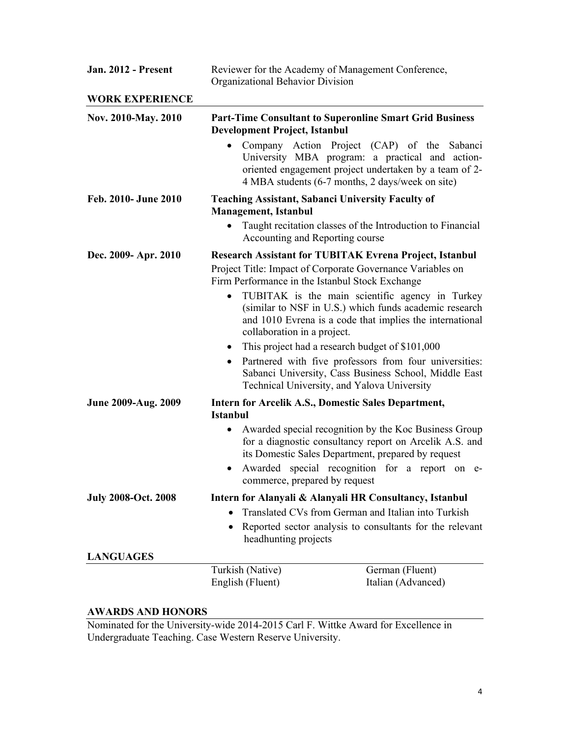| <b>Jan. 2012 - Present</b> | Reviewer for the Academy of Management Conference,<br>Organizational Behavior Division                                                                                                                                                                                                                                                                                                                                                          |                                                                                                                                                                                                                          |
|----------------------------|-------------------------------------------------------------------------------------------------------------------------------------------------------------------------------------------------------------------------------------------------------------------------------------------------------------------------------------------------------------------------------------------------------------------------------------------------|--------------------------------------------------------------------------------------------------------------------------------------------------------------------------------------------------------------------------|
| <b>WORK EXPERIENCE</b>     |                                                                                                                                                                                                                                                                                                                                                                                                                                                 |                                                                                                                                                                                                                          |
| Nov. 2010-May. 2010        | <b>Development Project, Istanbul</b>                                                                                                                                                                                                                                                                                                                                                                                                            | <b>Part-Time Consultant to Superonline Smart Grid Business</b>                                                                                                                                                           |
|                            |                                                                                                                                                                                                                                                                                                                                                                                                                                                 | Company Action Project (CAP) of the Sabanci<br>University MBA program: a practical and action-<br>oriented engagement project undertaken by a team of 2-<br>4 MBA students (6-7 months, 2 days/week on site)             |
| Feb. 2010- June 2010       | <b>Management</b> , Istanbul                                                                                                                                                                                                                                                                                                                                                                                                                    | <b>Teaching Assistant, Sabanci University Faculty of</b>                                                                                                                                                                 |
|                            | Accounting and Reporting course                                                                                                                                                                                                                                                                                                                                                                                                                 | Taught recitation classes of the Introduction to Financial                                                                                                                                                               |
| Dec. 2009- Apr. 2010       | <b>Research Assistant for TUBITAK Evrena Project, Istanbul</b><br>Project Title: Impact of Corporate Governance Variables on<br>Firm Performance in the Istanbul Stock Exchange<br>TUBITAK is the main scientific agency in Turkey<br>(similar to NSF in U.S.) which funds academic research<br>and 1010 Evrena is a code that implies the international<br>collaboration in a project.<br>This project had a research budget of \$101,000<br>٠ |                                                                                                                                                                                                                          |
|                            | Partnered with five professors from four universities:<br>Sabanci University, Cass Business School, Middle East<br>Technical University, and Yalova University                                                                                                                                                                                                                                                                                  |                                                                                                                                                                                                                          |
| June 2009-Aug. 2009        |                                                                                                                                                                                                                                                                                                                                                                                                                                                 | Intern for Arcelik A.S., Domestic Sales Department,                                                                                                                                                                      |
|                            | <b>Istanbul</b><br>$\bullet$<br>commerce, prepared by request                                                                                                                                                                                                                                                                                                                                                                                   | Awarded special recognition by the Koc Business Group<br>for a diagnostic consultancy report on Arcelik A.S. and<br>its Domestic Sales Department, prepared by request<br>Awarded special recognition for a report on e- |
| <b>July 2008-Oct. 2008</b> |                                                                                                                                                                                                                                                                                                                                                                                                                                                 | Intern for Alanyali & Alanyali HR Consultancy, Istanbul                                                                                                                                                                  |
|                            | Translated CVs from German and Italian into Turkish                                                                                                                                                                                                                                                                                                                                                                                             |                                                                                                                                                                                                                          |
|                            | headhunting projects                                                                                                                                                                                                                                                                                                                                                                                                                            | Reported sector analysis to consultants for the relevant                                                                                                                                                                 |
| <b>LANGUAGES</b>           |                                                                                                                                                                                                                                                                                                                                                                                                                                                 |                                                                                                                                                                                                                          |
|                            | Turkish (Native)<br>English (Fluent)                                                                                                                                                                                                                                                                                                                                                                                                            | German (Fluent)<br>Italian (Advanced)                                                                                                                                                                                    |

## **AWARDS AND HONORS**

Nominated for the University-wide 2014-2015 Carl F. Wittke Award for Excellence in Undergraduate Teaching. Case Western Reserve University.